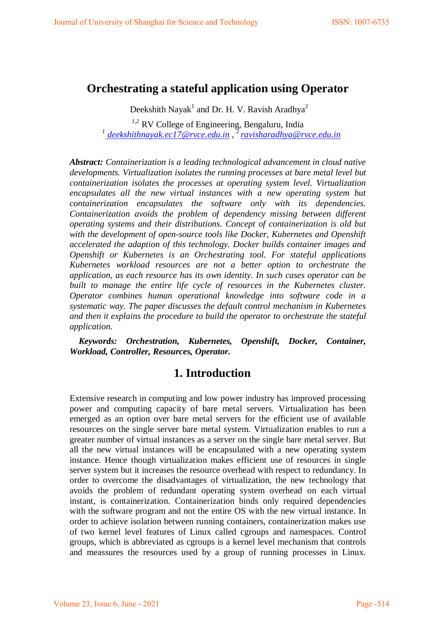# **Orchestrating a stateful application using Operator**

Deekshith Nayak<sup>1</sup> and Dr. H. V. Ravish Aradhya<sup>2</sup>

*1,2* RV College of Engineering, Bengaluru, India*<sup>1</sup> [deekshithnayak.ec17@rvce.edu.in](mailto:%20deekshithnayak.ec17@rvce.edu.in) , [2 ravisharadhya@rvce.edu.in](mailto:ravisharadhya@rvce.edu.in)* 

*Abstract: Containerization is a leading technological advancement in cloud native developments. Virtualization isolates the running processes at bare metal level but containerization isolates the processes at operating system level. Virtualization encapsulates all the new virtual instances with a new operating system but containerization encapsulates the software only with its dependencies. Containerization avoids the problem of dependency missing between different operating systems and their distributions. Concept of containerization is old but with the development of open-source tools like Docker, Kubernetes and Openshift accelerated the adaption of this technology. Docker builds container images and Openshift or Kubernetes is an Orchestrating tool. For stateful applications Kubernetes workload resources are not a better option to orchestrate the application, as each resource has its own identity. In such cases operator can be built to manage the entire life cycle of resources in the Kubernetes cluster. Operator combines human operational knowledge into software code in a systematic way. The paper discusses the default control mechanism in Kubernetes and then it explains the procedure to build the operator to orchestrate the stateful application.* 

*Keywords: Orchestration, Kubernetes, Openshift, Docker, Container, Workload, Controller, Resources, Operator.*

## **1. Introduction**

Extensive research in computing and low power industry has improved processing power and computing capacity of bare metal servers. Virtualization has been emerged as an option over bare metal servers for the efficient use of available resources on the single server bare metal system. Virtualization enables to run a greater number of virtual instances as a server on the single bare metal server. But all the new virtual instances will be encapsulated with a new operating system instance. Hence though virtualization makes efficient use of resources in single server system but it increases the resource overhead with respect to redundancy. In order to overcome the disadvantages of virtualization, the new technology that avoids the problem of redundant operating system overhead on each virtual instant, is containerization. Containerization binds only required dependencies with the software program and not the entire OS with the new virtual instance. In order to achieve isolation between running containers, containerization makes use of two kernel level features of Linux called cgroups and namespaces. Control groups, which is abbreviated as cgroups is a kernel level mechanism that controls and meassures the resources used by a group of running processes in Linux.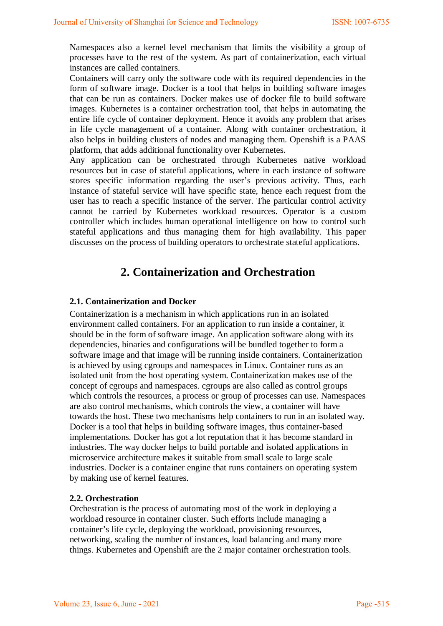Namespaces also a kernel level mechanism that limits the visibility a group of processes have to the rest of the system. As part of containerization, each virtual instances are called containers.

Containers will carry only the software code with its required dependencies in the form of software image. Docker is a tool that helps in building software images that can be run as containers. Docker makes use of docker file to build software images. Kubernetes is a container orchestration tool, that helps in automating the entire life cycle of container deployment. Hence it avoids any problem that arises in life cycle management of a container. Along with container orchestration, it also helps in building clusters of nodes and managing them. Openshift is a PAAS platform, that adds additional functionality over Kubernetes.

Any application can be orchestrated through Kubernetes native workload resources but in case of stateful applications, where in each instance of software stores specific information regarding the user's previous activity. Thus, each instance of stateful service will have specific state, hence each request from the user has to reach a specific instance of the server. The particular control activity cannot be carried by Kubernetes workload resources. Operator is a custom controller which includes human operational intelligence on how to control such stateful applications and thus managing them for high availability. This paper discusses on the process of building operators to orchestrate stateful applications.

# **2. Containerization and Orchestration**

#### **2.1. Containerization and Docker**

Containerization is a mechanism in which applications run in an isolated environment called containers. For an application to run inside a container, it should be in the form of software image. An application software along with its dependencies, binaries and configurations will be bundled together to form a software image and that image will be running inside containers. Containerization is achieved by using cgroups and namespaces in Linux. Container runs as an isolated unit from the host operating system. Containerization makes use of the concept of cgroups and namespaces. cgroups are also called as control groups which controls the resources, a process or group of processes can use. Namespaces are also control mechanisms, which controls the view, a container will have towards the host. These two mechanisms help containers to run in an isolated way. Docker is a tool that helps in building software images, thus container-based implementations. Docker has got a lot reputation that it has become standard in industries. The way docker helps to build portable and isolated applications in microservice architecture makes it suitable from small scale to large scale industries. Docker is a container engine that runs containers on operating system by making use of kernel features.

#### **2.2. Orchestration**

Orchestration is the process of automating most of the work in deploying a workload resource in container cluster. Such efforts include managing a container's life cycle, deploying the workload, provisioning resources, networking, scaling the number of instances, load balancing and many more things. Kubernetes and Openshift are the 2 major container orchestration tools.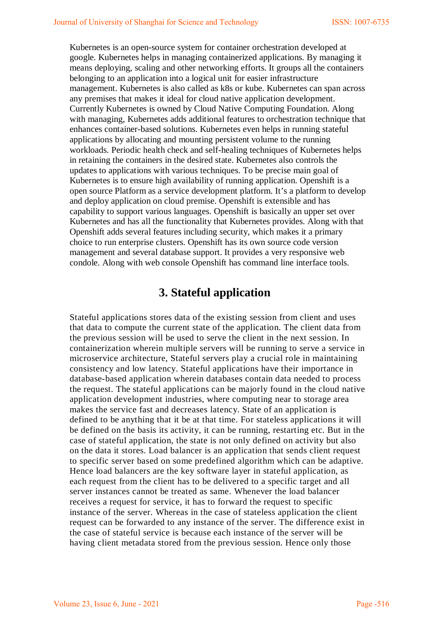Kubernetes is an open-source system for container orchestration developed at google. Kubernetes helps in managing containerized applications. By managing it means deploying, scaling and other networking efforts. It groups all the containers belonging to an application into a logical unit for easier infrastructure management. Kubernetes is also called as k8s or kube. Kubernetes can span across any premises that makes it ideal for cloud native application development. Currently Kubernetes is owned by Cloud Native Computing Foundation. Along with managing, Kubernetes adds additional features to orchestration technique that enhances container-based solutions. Kubernetes even helps in running stateful applications by allocating and mounting persistent volume to the running workloads. Periodic health check and self-healing techniques of Kubernetes helps in retaining the containers in the desired state. Kubernetes also controls the updates to applications with various techniques. To be precise main goal of Kubernetes is to ensure high availability of running application. Openshift is a open source Platform as a service development platform. It's a platform to develop and deploy application on cloud premise. Openshift is extensible and has capability to support various languages. Openshift is basically an upper set over Kubernetes and has all the functionality that Kubernetes provides. Along with that Openshift adds several features including security, which makes it a primary choice to run enterprise clusters. Openshift has its own source code version management and several database support. It provides a very responsive web condole. Along with web console Openshift has command line interface tools.

# **3. Stateful application**

Stateful applications stores data of the existing session from client and uses that data to compute the current state of the application. The client data from the previous session will be used to serve the client in the next session. In containerization wherein multiple servers will be running to serve a service in microservice architecture, Stateful servers play a crucial role in maintaining consistency and low latency. Stateful applications have their importance in database-based application wherein databases contain data needed to process the request. The stateful applications can be majorly found in the cloud native application development industries, where computing near to storage area makes the service fast and decreases latency. State of an application is defined to be anything that it be at that time. For stateless applications it will be defined on the basis its activity, it can be running, restarting etc. But in the case of stateful application, the state is not only defined on activity but also on the data it stores. Load balancer is an application that sends client request to specific server based on some predefined algorithm which can be adaptive. Hence load balancers are the key software layer in stateful application, as each request from the client has to be delivered to a specific target and all server instances cannot be treated as same. Whenever the load balancer receives a request for service, it has to forward the request to specific instance of the server. Whereas in the case of stateless application the client request can be forwarded to any instance of the server. The difference exist in the case of stateful service is because each instance of the server will be having client metadata stored from the previous session. Hence only those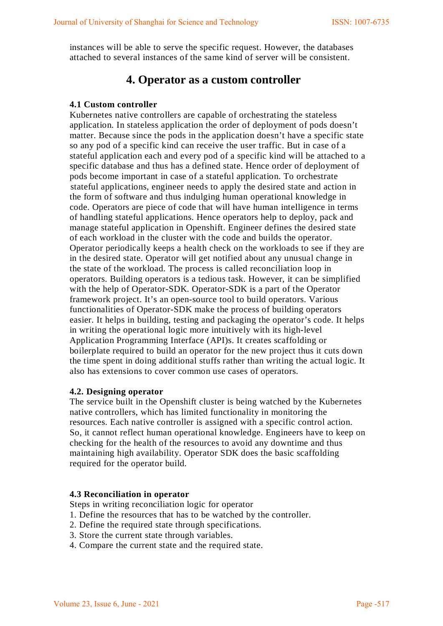instances will be able to serve the specific request. However, the databases attached to several instances of the same kind of server will be consistent.

### **4. Operator as a custom controller**

#### **4.1 Custom controller**

Kubernetes native controllers are capable of orchestrating the stateless application. In stateless application the order of deployment of pods doesn't matter. Because since the pods in the application doesn't have a specific state so any pod of a specific kind can receive the user traffic. But in case of a stateful application each and every pod of a specific kind will be attached to a specific database and thus has a defined state. Hence order of deployment of pods become important in case of a stateful application. To orchestrate stateful applications, engineer needs to apply the desired state and action in the form of software and thus indulging human operational knowledge in code. Operators are piece of code that will have human intelligence in terms of handling stateful applications. Hence operators help to deploy, pack and manage stateful application in Openshift. Engineer defines the desired state of each workload in the cluster with the code and builds the operator. Operator periodically keeps a health check on the workloads to see if they are in the desired state. Operator will get notified about any unusual change in the state of the workload. The process is called reconciliation loop in operators. Building operators is a tedious task. However, it can be simplified with the help of Operator-SDK. Operator-SDK is a part of the Operator framework project. It's an open-source tool to build operators. Various functionalities of Operator-SDK make the process of building operators easier. It helps in building, testing and packaging the operator's code. It helps in writing the operational logic more intuitively with its high-level Application Programming Interface (API)s. It creates scaffolding or boilerplate required to build an operator for the new project thus it cuts down the time spent in doing additional stuffs rather than writing the actual logic. It also has extensions to cover common use cases of operators.

#### **4.2. Designing operator**

The service built in the Openshift cluster is being watched by the Kubernetes native controllers, which has limited functionality in monitoring the resources. Each native controller is assigned with a specific control action. So, it cannot reflect human operational knowledge. Engineers have to keep on checking for the health of the resources to avoid any downtime and thus maintaining high availability. Operator SDK does the basic scaffolding required for the operator build.

#### **4.3 Reconciliation in operator**

Steps in writing reconciliation logic for operator

- 1. Define the resources that has to be watched by the controller.
- 2. Define the required state through specifications.
- 3. Store the current state through variables.
- 4. Compare the current state and the required state.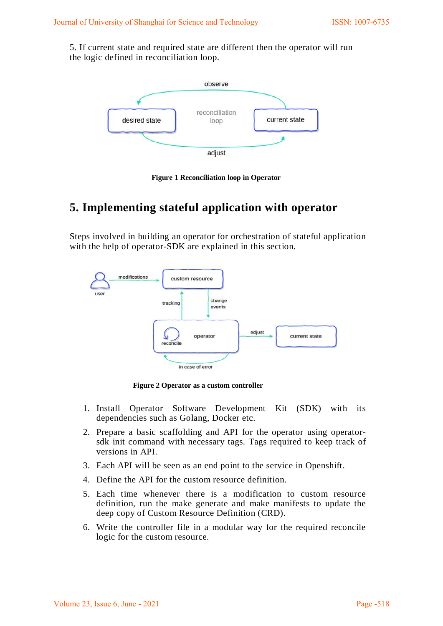5. If current state and required state are different then the operator will run the logic defined in reconciliation loop.



**Figure 1 Reconciliation loop in Operator**

# **5. Implementing stateful application with operator**

Steps involved in building an operator for orchestration of stateful application with the help of operator-SDK are explained in this section.



 **Figure 2 Operator as a custom controller**

- 1. Install Operator Software Development Kit (SDK) with its dependencies such as Golang, Docker etc.
- 2. Prepare a basic scaffolding and API for the operator using operatorsdk init command with necessary tags. Tags required to keep track of versions in API.
- 3. Each API will be seen as an end point to the service in Openshift.
- 4. Define the API for the custom resource definition.
- 5. Each time whenever there is a modification to custom resource definition, run the make generate and make manifests to update the deep copy of Custom Resource Definition (CRD).
- 6. Write the controller file in a modular way for the required reconcile logic for the custom resource.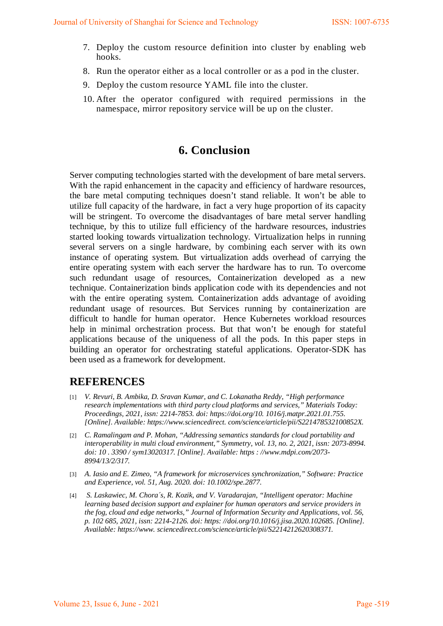- 7. Deploy the custom resource definition into cluster by enabling web hooks.
- 8. Run the operator either as a local controller or as a pod in the cluster.
- 9. Deploy the custom resource YAML file into the cluster.
- 10. After the operator configured with required permissions in the namespace, mirror repository service will be up on the cluster.

## **6. Conclusion**

Server computing technologies started with the development of bare metal servers. With the rapid enhancement in the capacity and efficiency of hardware resources, the bare metal computing techniques doesn't stand reliable. It won't be able to utilize full capacity of the hardware, in fact a very huge proportion of its capacity will be stringent. To overcome the disadvantages of bare metal server handling technique, by this to utilize full efficiency of the hardware resources, industries started looking towards virtualization technology. Virtualization helps in running several servers on a single hardware, by combining each server with its own instance of operating system. But virtualization adds overhead of carrying the entire operating system with each server the hardware has to run. To overcome such redundant usage of resources, Containerization developed as a new technique. Containerization binds application code with its dependencies and not with the entire operating system. Containerization adds advantage of avoiding redundant usage of resources. But Services running by containerization are difficult to handle for human operator. Hence Kubernetes workload resources help in minimal orchestration process. But that won't be enough for stateful applications because of the uniqueness of all the pods. In this paper steps in building an operator for orchestrating stateful applications. Operator-SDK has been used as a framework for development.

## **REFERENCES**

- [1] *V. Revuri, B. Ambika, D. Sravan Kumar, and C. Lokanatha Reddy, "High performance research implementations with third party cloud platforms and services," Materials Today: Proceedings, 2021, issn: 2214-7853. doi: https://doi.org/10. 1016/j.matpr.2021.01.755. [Online]. Available: https://www.sciencedirect. com/science/article/pii/S221478532100852X.*
- [2] *C. Ramalingam and P. Mohan, "Addressing semantics standards for cloud portability and interoperability in multi cloud environment," Symmetry, vol. 13, no. 2, 2021, issn: 2073-8994. doi: 10 . 3390 / sym13020317. [Online]. Available: https : //www.mdpi.com/2073- 8994/13/2/317.*
- [3] *A. Iasio and E. Zimeo, "A framework for microservices synchronization," Software: Practice and Experience, vol. 51, Aug. 2020. doi: 10.1002/spe.2877.*
- [4] *S. Laskawiec, M. Chora´s, R. Kozik, and V. Varadarajan, "Intelligent operator: Machine learning based decision support and explainer for human operators and service providers in the fog, cloud and edge networks," Journal of Information Security and Applications, vol. 56, p. 102 685, 2021, issn: 2214-2126. doi: https: //doi.org/10.1016/j.jisa.2020.102685. [Online]. Available: https://www. sciencedirect.com/science/article/pii/S2214212620308371.*